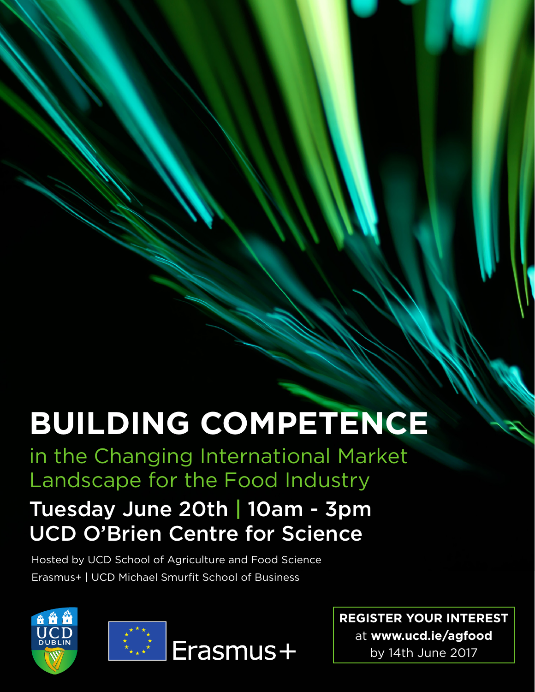## **BUILDING COMPETENCE**

in the Changing International Market Landscape for the Food Industry

## Tuesday June 20th | 10am - 3pm UCD O'Brien Centre for Science

Hosted by UCD School of Agriculture and Food Science Erasmus+ | UCD Michael Smurfit School of Business



**REGISTER YOUR INTEREST**  at **[www.ucd.ie/agfood](http://www.ucd.ie/agfood)** by 14th June 2017